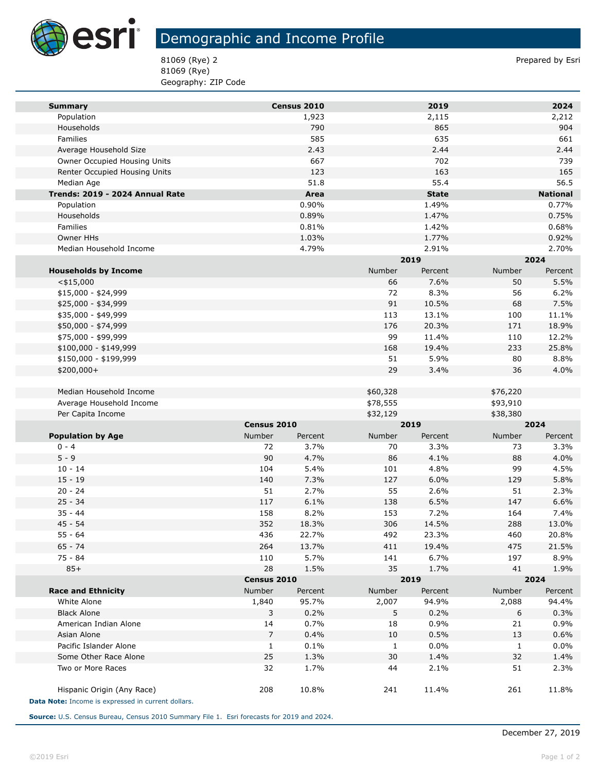

**Tara** 

## Demographic and Income Profile

81069 (Rye) 2 Prepared by Esri 81069 (Rye) Geography: ZIP Code

| 2019<br>2024<br>Census 2010<br><b>Summary</b><br>Population<br>1,923<br>2,115<br>2,212<br>865<br>Households<br>790<br>904<br>585<br>635<br>661<br>Families<br>2.44<br>Average Household Size<br>2.43<br>2.44<br>702<br>667<br>739<br>Owner Occupied Housing Units<br>123<br>163<br>Renter Occupied Housing Units<br>165<br>51.8<br>55.4<br>56.5<br>Median Age<br>Area<br><b>National</b><br>Trends: 2019 - 2024 Annual Rate<br><b>State</b><br>0.90%<br>1.49%<br>0.77%<br>Population<br>0.75%<br>Households<br>0.89%<br>1.47%<br>0.68%<br><b>Families</b><br>0.81%<br>1.42%<br>0.92%<br>Owner HHs<br>1.03%<br>1.77%<br>4.79%<br>2.91%<br>2.70%<br>Median Household Income<br>2019<br>2024<br>Number<br>Number<br><b>Households by Income</b><br>Percent<br>Percent<br>7.6%<br>5.5%<br>$<$ \$15,000<br>66<br>50<br>8.3%<br>6.2%<br>\$15,000 - \$24,999<br>72<br>56<br>91<br>\$25,000 - \$34,999<br>10.5%<br>68<br>7.5%<br>\$35,000 - \$49,999<br>113<br>13.1%<br>100<br>11.1%<br>\$50,000 - \$74,999<br>176<br>20.3%<br>171<br>18.9%<br>99<br>11.4%<br>110<br>12.2%<br>\$75,000 - \$99,999<br>233<br>25.8%<br>\$100,000 - \$149,999<br>168<br>19.4%<br>51<br>5.9%<br>80<br>8.8%<br>\$150,000 - \$199,999<br>29<br>3.4%<br>4.0%<br>\$200,000+<br>36<br>Median Household Income<br>\$60,328<br>\$76,220<br>Average Household Income<br>\$78,555<br>\$93,910<br>Per Capita Income<br>\$32,129<br>\$38,380<br>Census 2010<br>2019<br>2024<br><b>Population by Age</b><br><b>Number</b><br>Number<br>Number<br>Percent<br>Percent<br>Percent<br>$0 - 4$<br>72<br>3.7%<br>70<br>3.3%<br>73<br>3.3%<br>$5 - 9$<br>90<br>4.7%<br>4.1%<br>4.0%<br>86<br>88<br>4.8%<br>$10 - 14$<br>104<br>5.4%<br>101<br>99<br>4.5%<br>$15 - 19$<br>140<br>7.3%<br>6.0%<br>5.8%<br>127<br>129<br>2.6%<br>$20 - 24$<br>51<br>2.7%<br>55<br>51<br>2.3%<br>6.5%<br>$25 - 34$<br>117<br>6.1%<br>138<br>147<br>6.6%<br>$35 - 44$<br>158<br>8.2%<br>153<br>7.2%<br>164<br>7.4%<br>$45 - 54$<br>352<br>18.3%<br>306<br>14.5%<br>288<br>13.0%<br>$55 - 64$<br>492<br>23.3%<br>460<br>436<br>22.7%<br>20.8%<br>$65 - 74$<br>264<br>13.7%<br>411<br>475<br>21.5%<br>19.4%<br>75 - 84<br>110<br>5.7%<br>141<br>6.7%<br>197<br>8.9%<br>$85+$<br>28<br>35<br>1.5%<br>1.7%<br>41<br>1.9%<br>2019<br>2024<br>Census 2010<br>Number<br>Number<br><b>Race and Ethnicity</b><br>Number<br>Percent<br>Percent<br>Percent<br>White Alone<br>1,840<br>95.7%<br>2,007<br>94.9%<br>2,088<br>94.4%<br>0.2%<br>0.2%<br>0.3%<br><b>Black Alone</b><br>3<br>5<br>6<br>14<br>American Indian Alone<br>0.7%<br>18<br>0.9%<br>21<br>0.9%<br>$\overline{7}$<br>0.5%<br>Asian Alone<br>0.4%<br>10<br>13<br>0.6%<br>0.0%<br>Pacific Islander Alone<br>$\mathbf{1}$<br>0.1%<br>$\mathbf{1}$<br>$\mathbf{1}$<br>0.0%<br>25<br>Some Other Race Alone<br>1.3%<br>30<br>1.4%<br>32<br>1.4%<br>Two or More Races<br>32<br>1.7%<br>44<br>2.1%<br>51<br>2.3%<br>Hispanic Origin (Any Race)<br>208<br>10.8%<br>241<br>11.4%<br>261<br>11.8%<br>Data Note: Income is expressed in current dollars. |  |  |  |  |  |  |  |
|-------------------------------------------------------------------------------------------------------------------------------------------------------------------------------------------------------------------------------------------------------------------------------------------------------------------------------------------------------------------------------------------------------------------------------------------------------------------------------------------------------------------------------------------------------------------------------------------------------------------------------------------------------------------------------------------------------------------------------------------------------------------------------------------------------------------------------------------------------------------------------------------------------------------------------------------------------------------------------------------------------------------------------------------------------------------------------------------------------------------------------------------------------------------------------------------------------------------------------------------------------------------------------------------------------------------------------------------------------------------------------------------------------------------------------------------------------------------------------------------------------------------------------------------------------------------------------------------------------------------------------------------------------------------------------------------------------------------------------------------------------------------------------------------------------------------------------------------------------------------------------------------------------------------------------------------------------------------------------------------------------------------------------------------------------------------------------------------------------------------------------------------------------------------------------------------------------------------------------------------------------------------------------------------------------------------------------------------------------------------------------------------------------------------------------------------------------------------------------------------------------------------------------------------------------------------------------------------------------------------------------------------------------------------------------------------------------------------------------------------------------------------------------------------------------------------------------------------------------------------------------------------------------------------------------------------------------------------------------------------------------------------------------|--|--|--|--|--|--|--|
|                                                                                                                                                                                                                                                                                                                                                                                                                                                                                                                                                                                                                                                                                                                                                                                                                                                                                                                                                                                                                                                                                                                                                                                                                                                                                                                                                                                                                                                                                                                                                                                                                                                                                                                                                                                                                                                                                                                                                                                                                                                                                                                                                                                                                                                                                                                                                                                                                                                                                                                                                                                                                                                                                                                                                                                                                                                                                                                                                                                                                               |  |  |  |  |  |  |  |
|                                                                                                                                                                                                                                                                                                                                                                                                                                                                                                                                                                                                                                                                                                                                                                                                                                                                                                                                                                                                                                                                                                                                                                                                                                                                                                                                                                                                                                                                                                                                                                                                                                                                                                                                                                                                                                                                                                                                                                                                                                                                                                                                                                                                                                                                                                                                                                                                                                                                                                                                                                                                                                                                                                                                                                                                                                                                                                                                                                                                                               |  |  |  |  |  |  |  |
|                                                                                                                                                                                                                                                                                                                                                                                                                                                                                                                                                                                                                                                                                                                                                                                                                                                                                                                                                                                                                                                                                                                                                                                                                                                                                                                                                                                                                                                                                                                                                                                                                                                                                                                                                                                                                                                                                                                                                                                                                                                                                                                                                                                                                                                                                                                                                                                                                                                                                                                                                                                                                                                                                                                                                                                                                                                                                                                                                                                                                               |  |  |  |  |  |  |  |
|                                                                                                                                                                                                                                                                                                                                                                                                                                                                                                                                                                                                                                                                                                                                                                                                                                                                                                                                                                                                                                                                                                                                                                                                                                                                                                                                                                                                                                                                                                                                                                                                                                                                                                                                                                                                                                                                                                                                                                                                                                                                                                                                                                                                                                                                                                                                                                                                                                                                                                                                                                                                                                                                                                                                                                                                                                                                                                                                                                                                                               |  |  |  |  |  |  |  |
|                                                                                                                                                                                                                                                                                                                                                                                                                                                                                                                                                                                                                                                                                                                                                                                                                                                                                                                                                                                                                                                                                                                                                                                                                                                                                                                                                                                                                                                                                                                                                                                                                                                                                                                                                                                                                                                                                                                                                                                                                                                                                                                                                                                                                                                                                                                                                                                                                                                                                                                                                                                                                                                                                                                                                                                                                                                                                                                                                                                                                               |  |  |  |  |  |  |  |
|                                                                                                                                                                                                                                                                                                                                                                                                                                                                                                                                                                                                                                                                                                                                                                                                                                                                                                                                                                                                                                                                                                                                                                                                                                                                                                                                                                                                                                                                                                                                                                                                                                                                                                                                                                                                                                                                                                                                                                                                                                                                                                                                                                                                                                                                                                                                                                                                                                                                                                                                                                                                                                                                                                                                                                                                                                                                                                                                                                                                                               |  |  |  |  |  |  |  |
|                                                                                                                                                                                                                                                                                                                                                                                                                                                                                                                                                                                                                                                                                                                                                                                                                                                                                                                                                                                                                                                                                                                                                                                                                                                                                                                                                                                                                                                                                                                                                                                                                                                                                                                                                                                                                                                                                                                                                                                                                                                                                                                                                                                                                                                                                                                                                                                                                                                                                                                                                                                                                                                                                                                                                                                                                                                                                                                                                                                                                               |  |  |  |  |  |  |  |
|                                                                                                                                                                                                                                                                                                                                                                                                                                                                                                                                                                                                                                                                                                                                                                                                                                                                                                                                                                                                                                                                                                                                                                                                                                                                                                                                                                                                                                                                                                                                                                                                                                                                                                                                                                                                                                                                                                                                                                                                                                                                                                                                                                                                                                                                                                                                                                                                                                                                                                                                                                                                                                                                                                                                                                                                                                                                                                                                                                                                                               |  |  |  |  |  |  |  |
|                                                                                                                                                                                                                                                                                                                                                                                                                                                                                                                                                                                                                                                                                                                                                                                                                                                                                                                                                                                                                                                                                                                                                                                                                                                                                                                                                                                                                                                                                                                                                                                                                                                                                                                                                                                                                                                                                                                                                                                                                                                                                                                                                                                                                                                                                                                                                                                                                                                                                                                                                                                                                                                                                                                                                                                                                                                                                                                                                                                                                               |  |  |  |  |  |  |  |
|                                                                                                                                                                                                                                                                                                                                                                                                                                                                                                                                                                                                                                                                                                                                                                                                                                                                                                                                                                                                                                                                                                                                                                                                                                                                                                                                                                                                                                                                                                                                                                                                                                                                                                                                                                                                                                                                                                                                                                                                                                                                                                                                                                                                                                                                                                                                                                                                                                                                                                                                                                                                                                                                                                                                                                                                                                                                                                                                                                                                                               |  |  |  |  |  |  |  |
|                                                                                                                                                                                                                                                                                                                                                                                                                                                                                                                                                                                                                                                                                                                                                                                                                                                                                                                                                                                                                                                                                                                                                                                                                                                                                                                                                                                                                                                                                                                                                                                                                                                                                                                                                                                                                                                                                                                                                                                                                                                                                                                                                                                                                                                                                                                                                                                                                                                                                                                                                                                                                                                                                                                                                                                                                                                                                                                                                                                                                               |  |  |  |  |  |  |  |
|                                                                                                                                                                                                                                                                                                                                                                                                                                                                                                                                                                                                                                                                                                                                                                                                                                                                                                                                                                                                                                                                                                                                                                                                                                                                                                                                                                                                                                                                                                                                                                                                                                                                                                                                                                                                                                                                                                                                                                                                                                                                                                                                                                                                                                                                                                                                                                                                                                                                                                                                                                                                                                                                                                                                                                                                                                                                                                                                                                                                                               |  |  |  |  |  |  |  |
|                                                                                                                                                                                                                                                                                                                                                                                                                                                                                                                                                                                                                                                                                                                                                                                                                                                                                                                                                                                                                                                                                                                                                                                                                                                                                                                                                                                                                                                                                                                                                                                                                                                                                                                                                                                                                                                                                                                                                                                                                                                                                                                                                                                                                                                                                                                                                                                                                                                                                                                                                                                                                                                                                                                                                                                                                                                                                                                                                                                                                               |  |  |  |  |  |  |  |
|                                                                                                                                                                                                                                                                                                                                                                                                                                                                                                                                                                                                                                                                                                                                                                                                                                                                                                                                                                                                                                                                                                                                                                                                                                                                                                                                                                                                                                                                                                                                                                                                                                                                                                                                                                                                                                                                                                                                                                                                                                                                                                                                                                                                                                                                                                                                                                                                                                                                                                                                                                                                                                                                                                                                                                                                                                                                                                                                                                                                                               |  |  |  |  |  |  |  |
|                                                                                                                                                                                                                                                                                                                                                                                                                                                                                                                                                                                                                                                                                                                                                                                                                                                                                                                                                                                                                                                                                                                                                                                                                                                                                                                                                                                                                                                                                                                                                                                                                                                                                                                                                                                                                                                                                                                                                                                                                                                                                                                                                                                                                                                                                                                                                                                                                                                                                                                                                                                                                                                                                                                                                                                                                                                                                                                                                                                                                               |  |  |  |  |  |  |  |
|                                                                                                                                                                                                                                                                                                                                                                                                                                                                                                                                                                                                                                                                                                                                                                                                                                                                                                                                                                                                                                                                                                                                                                                                                                                                                                                                                                                                                                                                                                                                                                                                                                                                                                                                                                                                                                                                                                                                                                                                                                                                                                                                                                                                                                                                                                                                                                                                                                                                                                                                                                                                                                                                                                                                                                                                                                                                                                                                                                                                                               |  |  |  |  |  |  |  |
|                                                                                                                                                                                                                                                                                                                                                                                                                                                                                                                                                                                                                                                                                                                                                                                                                                                                                                                                                                                                                                                                                                                                                                                                                                                                                                                                                                                                                                                                                                                                                                                                                                                                                                                                                                                                                                                                                                                                                                                                                                                                                                                                                                                                                                                                                                                                                                                                                                                                                                                                                                                                                                                                                                                                                                                                                                                                                                                                                                                                                               |  |  |  |  |  |  |  |
|                                                                                                                                                                                                                                                                                                                                                                                                                                                                                                                                                                                                                                                                                                                                                                                                                                                                                                                                                                                                                                                                                                                                                                                                                                                                                                                                                                                                                                                                                                                                                                                                                                                                                                                                                                                                                                                                                                                                                                                                                                                                                                                                                                                                                                                                                                                                                                                                                                                                                                                                                                                                                                                                                                                                                                                                                                                                                                                                                                                                                               |  |  |  |  |  |  |  |
|                                                                                                                                                                                                                                                                                                                                                                                                                                                                                                                                                                                                                                                                                                                                                                                                                                                                                                                                                                                                                                                                                                                                                                                                                                                                                                                                                                                                                                                                                                                                                                                                                                                                                                                                                                                                                                                                                                                                                                                                                                                                                                                                                                                                                                                                                                                                                                                                                                                                                                                                                                                                                                                                                                                                                                                                                                                                                                                                                                                                                               |  |  |  |  |  |  |  |
|                                                                                                                                                                                                                                                                                                                                                                                                                                                                                                                                                                                                                                                                                                                                                                                                                                                                                                                                                                                                                                                                                                                                                                                                                                                                                                                                                                                                                                                                                                                                                                                                                                                                                                                                                                                                                                                                                                                                                                                                                                                                                                                                                                                                                                                                                                                                                                                                                                                                                                                                                                                                                                                                                                                                                                                                                                                                                                                                                                                                                               |  |  |  |  |  |  |  |
|                                                                                                                                                                                                                                                                                                                                                                                                                                                                                                                                                                                                                                                                                                                                                                                                                                                                                                                                                                                                                                                                                                                                                                                                                                                                                                                                                                                                                                                                                                                                                                                                                                                                                                                                                                                                                                                                                                                                                                                                                                                                                                                                                                                                                                                                                                                                                                                                                                                                                                                                                                                                                                                                                                                                                                                                                                                                                                                                                                                                                               |  |  |  |  |  |  |  |
|                                                                                                                                                                                                                                                                                                                                                                                                                                                                                                                                                                                                                                                                                                                                                                                                                                                                                                                                                                                                                                                                                                                                                                                                                                                                                                                                                                                                                                                                                                                                                                                                                                                                                                                                                                                                                                                                                                                                                                                                                                                                                                                                                                                                                                                                                                                                                                                                                                                                                                                                                                                                                                                                                                                                                                                                                                                                                                                                                                                                                               |  |  |  |  |  |  |  |
|                                                                                                                                                                                                                                                                                                                                                                                                                                                                                                                                                                                                                                                                                                                                                                                                                                                                                                                                                                                                                                                                                                                                                                                                                                                                                                                                                                                                                                                                                                                                                                                                                                                                                                                                                                                                                                                                                                                                                                                                                                                                                                                                                                                                                                                                                                                                                                                                                                                                                                                                                                                                                                                                                                                                                                                                                                                                                                                                                                                                                               |  |  |  |  |  |  |  |
|                                                                                                                                                                                                                                                                                                                                                                                                                                                                                                                                                                                                                                                                                                                                                                                                                                                                                                                                                                                                                                                                                                                                                                                                                                                                                                                                                                                                                                                                                                                                                                                                                                                                                                                                                                                                                                                                                                                                                                                                                                                                                                                                                                                                                                                                                                                                                                                                                                                                                                                                                                                                                                                                                                                                                                                                                                                                                                                                                                                                                               |  |  |  |  |  |  |  |
|                                                                                                                                                                                                                                                                                                                                                                                                                                                                                                                                                                                                                                                                                                                                                                                                                                                                                                                                                                                                                                                                                                                                                                                                                                                                                                                                                                                                                                                                                                                                                                                                                                                                                                                                                                                                                                                                                                                                                                                                                                                                                                                                                                                                                                                                                                                                                                                                                                                                                                                                                                                                                                                                                                                                                                                                                                                                                                                                                                                                                               |  |  |  |  |  |  |  |
|                                                                                                                                                                                                                                                                                                                                                                                                                                                                                                                                                                                                                                                                                                                                                                                                                                                                                                                                                                                                                                                                                                                                                                                                                                                                                                                                                                                                                                                                                                                                                                                                                                                                                                                                                                                                                                                                                                                                                                                                                                                                                                                                                                                                                                                                                                                                                                                                                                                                                                                                                                                                                                                                                                                                                                                                                                                                                                                                                                                                                               |  |  |  |  |  |  |  |
|                                                                                                                                                                                                                                                                                                                                                                                                                                                                                                                                                                                                                                                                                                                                                                                                                                                                                                                                                                                                                                                                                                                                                                                                                                                                                                                                                                                                                                                                                                                                                                                                                                                                                                                                                                                                                                                                                                                                                                                                                                                                                                                                                                                                                                                                                                                                                                                                                                                                                                                                                                                                                                                                                                                                                                                                                                                                                                                                                                                                                               |  |  |  |  |  |  |  |
|                                                                                                                                                                                                                                                                                                                                                                                                                                                                                                                                                                                                                                                                                                                                                                                                                                                                                                                                                                                                                                                                                                                                                                                                                                                                                                                                                                                                                                                                                                                                                                                                                                                                                                                                                                                                                                                                                                                                                                                                                                                                                                                                                                                                                                                                                                                                                                                                                                                                                                                                                                                                                                                                                                                                                                                                                                                                                                                                                                                                                               |  |  |  |  |  |  |  |
|                                                                                                                                                                                                                                                                                                                                                                                                                                                                                                                                                                                                                                                                                                                                                                                                                                                                                                                                                                                                                                                                                                                                                                                                                                                                                                                                                                                                                                                                                                                                                                                                                                                                                                                                                                                                                                                                                                                                                                                                                                                                                                                                                                                                                                                                                                                                                                                                                                                                                                                                                                                                                                                                                                                                                                                                                                                                                                                                                                                                                               |  |  |  |  |  |  |  |
|                                                                                                                                                                                                                                                                                                                                                                                                                                                                                                                                                                                                                                                                                                                                                                                                                                                                                                                                                                                                                                                                                                                                                                                                                                                                                                                                                                                                                                                                                                                                                                                                                                                                                                                                                                                                                                                                                                                                                                                                                                                                                                                                                                                                                                                                                                                                                                                                                                                                                                                                                                                                                                                                                                                                                                                                                                                                                                                                                                                                                               |  |  |  |  |  |  |  |
|                                                                                                                                                                                                                                                                                                                                                                                                                                                                                                                                                                                                                                                                                                                                                                                                                                                                                                                                                                                                                                                                                                                                                                                                                                                                                                                                                                                                                                                                                                                                                                                                                                                                                                                                                                                                                                                                                                                                                                                                                                                                                                                                                                                                                                                                                                                                                                                                                                                                                                                                                                                                                                                                                                                                                                                                                                                                                                                                                                                                                               |  |  |  |  |  |  |  |
|                                                                                                                                                                                                                                                                                                                                                                                                                                                                                                                                                                                                                                                                                                                                                                                                                                                                                                                                                                                                                                                                                                                                                                                                                                                                                                                                                                                                                                                                                                                                                                                                                                                                                                                                                                                                                                                                                                                                                                                                                                                                                                                                                                                                                                                                                                                                                                                                                                                                                                                                                                                                                                                                                                                                                                                                                                                                                                                                                                                                                               |  |  |  |  |  |  |  |
|                                                                                                                                                                                                                                                                                                                                                                                                                                                                                                                                                                                                                                                                                                                                                                                                                                                                                                                                                                                                                                                                                                                                                                                                                                                                                                                                                                                                                                                                                                                                                                                                                                                                                                                                                                                                                                                                                                                                                                                                                                                                                                                                                                                                                                                                                                                                                                                                                                                                                                                                                                                                                                                                                                                                                                                                                                                                                                                                                                                                                               |  |  |  |  |  |  |  |
|                                                                                                                                                                                                                                                                                                                                                                                                                                                                                                                                                                                                                                                                                                                                                                                                                                                                                                                                                                                                                                                                                                                                                                                                                                                                                                                                                                                                                                                                                                                                                                                                                                                                                                                                                                                                                                                                                                                                                                                                                                                                                                                                                                                                                                                                                                                                                                                                                                                                                                                                                                                                                                                                                                                                                                                                                                                                                                                                                                                                                               |  |  |  |  |  |  |  |
|                                                                                                                                                                                                                                                                                                                                                                                                                                                                                                                                                                                                                                                                                                                                                                                                                                                                                                                                                                                                                                                                                                                                                                                                                                                                                                                                                                                                                                                                                                                                                                                                                                                                                                                                                                                                                                                                                                                                                                                                                                                                                                                                                                                                                                                                                                                                                                                                                                                                                                                                                                                                                                                                                                                                                                                                                                                                                                                                                                                                                               |  |  |  |  |  |  |  |
|                                                                                                                                                                                                                                                                                                                                                                                                                                                                                                                                                                                                                                                                                                                                                                                                                                                                                                                                                                                                                                                                                                                                                                                                                                                                                                                                                                                                                                                                                                                                                                                                                                                                                                                                                                                                                                                                                                                                                                                                                                                                                                                                                                                                                                                                                                                                                                                                                                                                                                                                                                                                                                                                                                                                                                                                                                                                                                                                                                                                                               |  |  |  |  |  |  |  |
|                                                                                                                                                                                                                                                                                                                                                                                                                                                                                                                                                                                                                                                                                                                                                                                                                                                                                                                                                                                                                                                                                                                                                                                                                                                                                                                                                                                                                                                                                                                                                                                                                                                                                                                                                                                                                                                                                                                                                                                                                                                                                                                                                                                                                                                                                                                                                                                                                                                                                                                                                                                                                                                                                                                                                                                                                                                                                                                                                                                                                               |  |  |  |  |  |  |  |
|                                                                                                                                                                                                                                                                                                                                                                                                                                                                                                                                                                                                                                                                                                                                                                                                                                                                                                                                                                                                                                                                                                                                                                                                                                                                                                                                                                                                                                                                                                                                                                                                                                                                                                                                                                                                                                                                                                                                                                                                                                                                                                                                                                                                                                                                                                                                                                                                                                                                                                                                                                                                                                                                                                                                                                                                                                                                                                                                                                                                                               |  |  |  |  |  |  |  |
|                                                                                                                                                                                                                                                                                                                                                                                                                                                                                                                                                                                                                                                                                                                                                                                                                                                                                                                                                                                                                                                                                                                                                                                                                                                                                                                                                                                                                                                                                                                                                                                                                                                                                                                                                                                                                                                                                                                                                                                                                                                                                                                                                                                                                                                                                                                                                                                                                                                                                                                                                                                                                                                                                                                                                                                                                                                                                                                                                                                                                               |  |  |  |  |  |  |  |
|                                                                                                                                                                                                                                                                                                                                                                                                                                                                                                                                                                                                                                                                                                                                                                                                                                                                                                                                                                                                                                                                                                                                                                                                                                                                                                                                                                                                                                                                                                                                                                                                                                                                                                                                                                                                                                                                                                                                                                                                                                                                                                                                                                                                                                                                                                                                                                                                                                                                                                                                                                                                                                                                                                                                                                                                                                                                                                                                                                                                                               |  |  |  |  |  |  |  |
|                                                                                                                                                                                                                                                                                                                                                                                                                                                                                                                                                                                                                                                                                                                                                                                                                                                                                                                                                                                                                                                                                                                                                                                                                                                                                                                                                                                                                                                                                                                                                                                                                                                                                                                                                                                                                                                                                                                                                                                                                                                                                                                                                                                                                                                                                                                                                                                                                                                                                                                                                                                                                                                                                                                                                                                                                                                                                                                                                                                                                               |  |  |  |  |  |  |  |
|                                                                                                                                                                                                                                                                                                                                                                                                                                                                                                                                                                                                                                                                                                                                                                                                                                                                                                                                                                                                                                                                                                                                                                                                                                                                                                                                                                                                                                                                                                                                                                                                                                                                                                                                                                                                                                                                                                                                                                                                                                                                                                                                                                                                                                                                                                                                                                                                                                                                                                                                                                                                                                                                                                                                                                                                                                                                                                                                                                                                                               |  |  |  |  |  |  |  |
|                                                                                                                                                                                                                                                                                                                                                                                                                                                                                                                                                                                                                                                                                                                                                                                                                                                                                                                                                                                                                                                                                                                                                                                                                                                                                                                                                                                                                                                                                                                                                                                                                                                                                                                                                                                                                                                                                                                                                                                                                                                                                                                                                                                                                                                                                                                                                                                                                                                                                                                                                                                                                                                                                                                                                                                                                                                                                                                                                                                                                               |  |  |  |  |  |  |  |
|                                                                                                                                                                                                                                                                                                                                                                                                                                                                                                                                                                                                                                                                                                                                                                                                                                                                                                                                                                                                                                                                                                                                                                                                                                                                                                                                                                                                                                                                                                                                                                                                                                                                                                                                                                                                                                                                                                                                                                                                                                                                                                                                                                                                                                                                                                                                                                                                                                                                                                                                                                                                                                                                                                                                                                                                                                                                                                                                                                                                                               |  |  |  |  |  |  |  |
|                                                                                                                                                                                                                                                                                                                                                                                                                                                                                                                                                                                                                                                                                                                                                                                                                                                                                                                                                                                                                                                                                                                                                                                                                                                                                                                                                                                                                                                                                                                                                                                                                                                                                                                                                                                                                                                                                                                                                                                                                                                                                                                                                                                                                                                                                                                                                                                                                                                                                                                                                                                                                                                                                                                                                                                                                                                                                                                                                                                                                               |  |  |  |  |  |  |  |
|                                                                                                                                                                                                                                                                                                                                                                                                                                                                                                                                                                                                                                                                                                                                                                                                                                                                                                                                                                                                                                                                                                                                                                                                                                                                                                                                                                                                                                                                                                                                                                                                                                                                                                                                                                                                                                                                                                                                                                                                                                                                                                                                                                                                                                                                                                                                                                                                                                                                                                                                                                                                                                                                                                                                                                                                                                                                                                                                                                                                                               |  |  |  |  |  |  |  |
|                                                                                                                                                                                                                                                                                                                                                                                                                                                                                                                                                                                                                                                                                                                                                                                                                                                                                                                                                                                                                                                                                                                                                                                                                                                                                                                                                                                                                                                                                                                                                                                                                                                                                                                                                                                                                                                                                                                                                                                                                                                                                                                                                                                                                                                                                                                                                                                                                                                                                                                                                                                                                                                                                                                                                                                                                                                                                                                                                                                                                               |  |  |  |  |  |  |  |
|                                                                                                                                                                                                                                                                                                                                                                                                                                                                                                                                                                                                                                                                                                                                                                                                                                                                                                                                                                                                                                                                                                                                                                                                                                                                                                                                                                                                                                                                                                                                                                                                                                                                                                                                                                                                                                                                                                                                                                                                                                                                                                                                                                                                                                                                                                                                                                                                                                                                                                                                                                                                                                                                                                                                                                                                                                                                                                                                                                                                                               |  |  |  |  |  |  |  |
|                                                                                                                                                                                                                                                                                                                                                                                                                                                                                                                                                                                                                                                                                                                                                                                                                                                                                                                                                                                                                                                                                                                                                                                                                                                                                                                                                                                                                                                                                                                                                                                                                                                                                                                                                                                                                                                                                                                                                                                                                                                                                                                                                                                                                                                                                                                                                                                                                                                                                                                                                                                                                                                                                                                                                                                                                                                                                                                                                                                                                               |  |  |  |  |  |  |  |
|                                                                                                                                                                                                                                                                                                                                                                                                                                                                                                                                                                                                                                                                                                                                                                                                                                                                                                                                                                                                                                                                                                                                                                                                                                                                                                                                                                                                                                                                                                                                                                                                                                                                                                                                                                                                                                                                                                                                                                                                                                                                                                                                                                                                                                                                                                                                                                                                                                                                                                                                                                                                                                                                                                                                                                                                                                                                                                                                                                                                                               |  |  |  |  |  |  |  |
|                                                                                                                                                                                                                                                                                                                                                                                                                                                                                                                                                                                                                                                                                                                                                                                                                                                                                                                                                                                                                                                                                                                                                                                                                                                                                                                                                                                                                                                                                                                                                                                                                                                                                                                                                                                                                                                                                                                                                                                                                                                                                                                                                                                                                                                                                                                                                                                                                                                                                                                                                                                                                                                                                                                                                                                                                                                                                                                                                                                                                               |  |  |  |  |  |  |  |
|                                                                                                                                                                                                                                                                                                                                                                                                                                                                                                                                                                                                                                                                                                                                                                                                                                                                                                                                                                                                                                                                                                                                                                                                                                                                                                                                                                                                                                                                                                                                                                                                                                                                                                                                                                                                                                                                                                                                                                                                                                                                                                                                                                                                                                                                                                                                                                                                                                                                                                                                                                                                                                                                                                                                                                                                                                                                                                                                                                                                                               |  |  |  |  |  |  |  |
|                                                                                                                                                                                                                                                                                                                                                                                                                                                                                                                                                                                                                                                                                                                                                                                                                                                                                                                                                                                                                                                                                                                                                                                                                                                                                                                                                                                                                                                                                                                                                                                                                                                                                                                                                                                                                                                                                                                                                                                                                                                                                                                                                                                                                                                                                                                                                                                                                                                                                                                                                                                                                                                                                                                                                                                                                                                                                                                                                                                                                               |  |  |  |  |  |  |  |
|                                                                                                                                                                                                                                                                                                                                                                                                                                                                                                                                                                                                                                                                                                                                                                                                                                                                                                                                                                                                                                                                                                                                                                                                                                                                                                                                                                                                                                                                                                                                                                                                                                                                                                                                                                                                                                                                                                                                                                                                                                                                                                                                                                                                                                                                                                                                                                                                                                                                                                                                                                                                                                                                                                                                                                                                                                                                                                                                                                                                                               |  |  |  |  |  |  |  |

**Source:** U.S. Census Bureau, Census 2010 Summary File 1. Esri forecasts for 2019 and 2024.